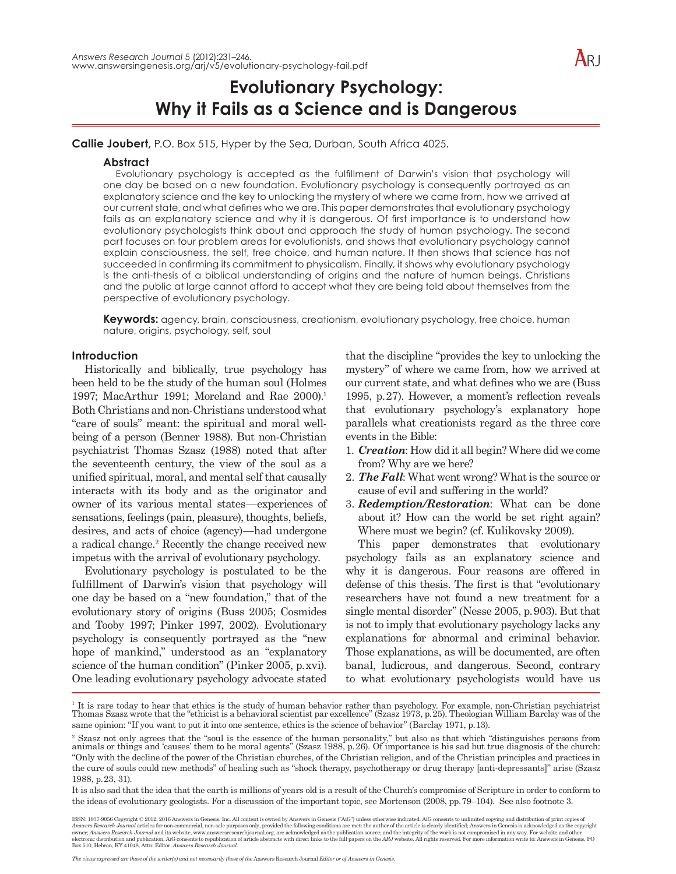

**Callie Joubert,** P.O. Box 515, Hyper by the Sea, Durban, South Africa 4025.

#### **Abstract**

Evolutionary psychology is accepted as the fulfillment of Darwin's vision that psychology will one day be based on a new foundation. Evolutionary psychology is consequently portrayed as an explanatory science and the key to unlocking the mystery of where we came from, how we arrived at our current state, and what defines who we are. This paper demonstrates that evolutionary psychology fails as an explanatory science and why it is dangerous. Of first importance is to understand how evolutionary psychologists think about and approach the study of human psychology. The second part focuses on four problem areas for evolutionists, and shows that evolutionary psychology cannot explain consciousness, the self, free choice, and human nature. It then shows that science has not succeeded in confirming its commitment to physicalism. Finally, it shows why evolutionary psychology is the anti-thesis of a biblical understanding of origins and the nature of human beings. Christians and the public at large cannot afford to accept what they are being told about themselves from the perspective of evolutionary psychology.

**Keywords:** agency, brain, consciousness, creationism, evolutionary psychology, free choice, human nature, origins, psychology, self, soul

#### **Introduction**

Historically and biblically, true psychology has been held to be the study of the human soul (Holmes 1997; MacArthur 1991; Moreland and Rae 2000).<sup>1</sup> Both Christians and non-Christians understood what "care of souls" meant: the spiritual and moral wellbeing of a person (Benner 1988). But non-Christian psychiatrist Thomas Szasz (1988) noted that after the seventeenth century, the view of the soul as a unified spiritual, moral, and mental self that causally interacts with its body and as the originator and owner of its various mental states—experiences of sensations, feelings (pain, pleasure), thoughts, beliefs, desires, and acts of choice (agency)—had undergone a radical change.<sup>2</sup> Recently the change received new impetus with the arrival of evolutionary psychology.

Evolutionary psychology is postulated to be the fulfillment of Darwin's vision that psychology will one day be based on a "new foundation," that of the evolutionary story of origins (Buss 2005; Cosmides and Tooby 1997; Pinker 1997, 2002). Evolutionary psychology is consequently portrayed as the "new hope of mankind," understood as an "explanatory science of the human condition" (Pinker 2005, p.xvi). One leading evolutionary psychology advocate stated

that the discipline "provides the key to unlocking the mystery" of where we came from, how we arrived at our current state, and what defines who we are (Buss 1995, p.27). However, a moment's reflection reveals that evolutionary psychology's explanatory hope parallels what creationists regard as the three core events in the Bible:

- 1. *Creation*: How did it all begin? Where did we come from? Why are we here?
- 2. *The Fall*: What went wrong? What is the source or cause of evil and suffering in the world?
- 3. *Redemption/Restoration*: What can be done about it? How can the world be set right again? Where must we begin? (cf. Kulikovsky 2009).

This paper demonstrates that evolutionary psychology fails as an explanatory science and why it is dangerous. Four reasons are offered in defense of this thesis. The first is that "evolutionary researchers have not found a new treatment for a single mental disorder" (Nesse 2005, p.903). But that is not to imply that evolutionary psychology lacks any explanations for abnormal and criminal behavior. Those explanations, as will be documented, are often banal, ludicrous, and dangerous. Second, contrary to what evolutionary psychologists would have us

*The views expressed are those of the writer(s) and not necessarily those of the* Answers Research Journal *Editor or of Answers in Genesis.*

<sup>&</sup>lt;sup>1</sup> It is rare today to hear that ethics is the study of human behavior rather than psychology. For example, non-Christian psychiatrist<br>Thomas Szasz wrote that the "ethicist is a behavioral scientist par excellence" (Szasz same opinion: "If you want to put it into one sentence, ethics is the science of behavior" (Barclay 1971, p.13).

<sup>2</sup> Szasz not only agrees that the "soul is the essence of the human personality," but also as that which "distinguishes persons from animals or things and 'causes' them to be moral agents" (Szasz 1988, p.26). Of importance is his sad but true diagnosis of the church: "Only with the decline of the power of the Christian churches, of the Christian religion, and of the Christian principles and practices in the cure of souls could new methods" of healing such as "shock therapy, psychotherapy or drug therapy [anti-depressants]" arise (Szasz 1988, p.23, 31).

It is also sad that the idea that the earth is millions of years old is a result of the Church's compromise of Scripture in order to conform to the ideas of evolutionary geologists. For a discussion of the important topic, see Mortenson (2008, pp.79–104). See also footnote 3.

ISSN: 1937-9056 Copyright © 2012, 2016 Answers in Genesis, Inc. All content is owned by Answers in Genesis ("AiG") unless otherwise indicated. AiG consents to unlimited copying and distribution of print copies of Answers Research Journal articles for non-commercial, non-sale purposes only, provided the following conditions are met: the author of the article is clearly identified; Answers in Genesis is acknowledged as the copyright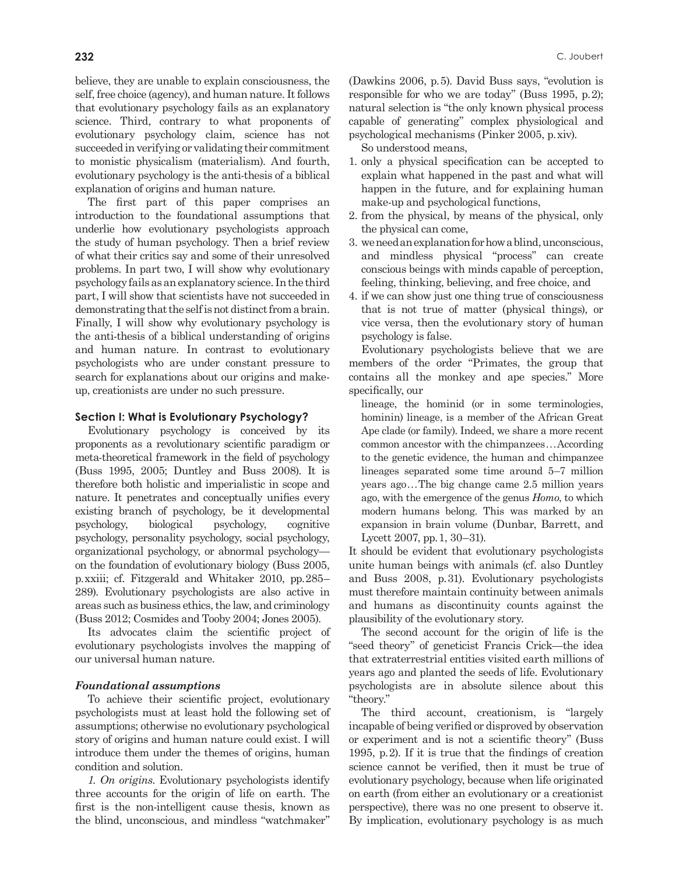believe, they are unable to explain consciousness, the self, free choice (agency), and human nature. It follows that evolutionary psychology fails as an explanatory science. Third, contrary to what proponents of evolutionary psychology claim, science has not succeeded in verifying or validating their commitment to monistic physicalism (materialism). And fourth, evolutionary psychology is the anti-thesis of a biblical explanation of origins and human nature.

The first part of this paper comprises an introduction to the foundational assumptions that underlie how evolutionary psychologists approach the study of human psychology. Then a brief review of what their critics say and some of their unresolved problems. In part two, I will show why evolutionary psychology fails as an explanatory science. In the third part, I will show that scientists have not succeeded in demonstrating that the self is not distinct from a brain. Finally, I will show why evolutionary psychology is the anti-thesis of a biblical understanding of origins and human nature. In contrast to evolutionary psychologists who are under constant pressure to search for explanations about our origins and makeup, creationists are under no such pressure.

# **Section I: What is Evolutionary Psychology?**

Evolutionary psychology is conceived by its proponents as a revolutionary scientific paradigm or meta-theoretical framework in the field of psychology (Buss 1995, 2005; Duntley and Buss 2008). It is therefore both holistic and imperialistic in scope and nature. It penetrates and conceptually unifies every existing branch of psychology, be it developmental psychology, biological psychology, cognitive psychology, personality psychology, social psychology, organizational psychology, or abnormal psychology on the foundation of evolutionary biology (Buss 2005, p.xxiii; cf. Fitzgerald and Whitaker 2010, pp.285– 289). Evolutionary psychologists are also active in areas such as business ethics, the law, and criminology (Buss 2012; Cosmides and Tooby 2004; Jones 2005).

Its advocates claim the scientific project of evolutionary psychologists involves the mapping of our universal human nature.

#### *Foundational assumptions*

To achieve their scientific project, evolutionary psychologists must at least hold the following set of assumptions; otherwise no evolutionary psychological story of origins and human nature could exist. I will introduce them under the themes of origins, human condition and solution.

*1. On origins*. Evolutionary psychologists identify three accounts for the origin of life on earth. The first is the non-intelligent cause thesis, known as the blind, unconscious, and mindless "watchmaker" (Dawkins 2006, p.5). David Buss says, "evolution is responsible for who we are today" (Buss 1995, p.2); natural selection is "the only known physical process capable of generating" complex physiological and psychological mechanisms (Pinker 2005, p.xiv).

So understood means,

- 1. only a physical specification can be accepted to explain what happened in the past and what will happen in the future, and for explaining human make-up and psychological functions,
- 2. from the physical, by means of the physical, only the physical can come,
- 3. we need an explanation for how a blind, unconscious, and mindless physical "process" can create conscious beings with minds capable of perception, feeling, thinking, believing, and free choice, and
- 4. if we can show just one thing true of consciousness that is not true of matter (physical things), or vice versa, then the evolutionary story of human psychology is false.

Evolutionary psychologists believe that we are members of the order "Primates, the group that contains all the monkey and ape species." More specifically, our

lineage, the hominid (or in some terminologies, hominin) lineage, is a member of the African Great Ape clade (or family). Indeed, we share a more recent common ancestor with the chimpanzees...According to the genetic evidence, the human and chimpanzee lineages separated some time around 5–7 million years ago...The big change came 2.5 million years ago, with the emergence of the genus *Homo*, to which modern humans belong. This was marked by an expansion in brain volume (Dunbar, Barrett, and Lycett 2007, pp.1, 30–31).

It should be evident that evolutionary psychologists unite human beings with animals (cf. also Duntley and Buss 2008, p.31). Evolutionary psychologists must therefore maintain continuity between animals and humans as discontinuity counts against the plausibility of the evolutionary story.

The second account for the origin of life is the "seed theory" of geneticist Francis Crick—the idea that extraterrestrial entities visited earth millions of years ago and planted the seeds of life. Evolutionary psychologists are in absolute silence about this "theory."

The third account, creationism, is "largely incapable of being verified or disproved by observation or experiment and is not a scientific theory" (Buss 1995, p.2). If it is true that the findings of creation science cannot be verified, then it must be true of evolutionary psychology, because when life originated on earth (from either an evolutionary or a creationist perspective), there was no one present to observe it. By implication, evolutionary psychology is as much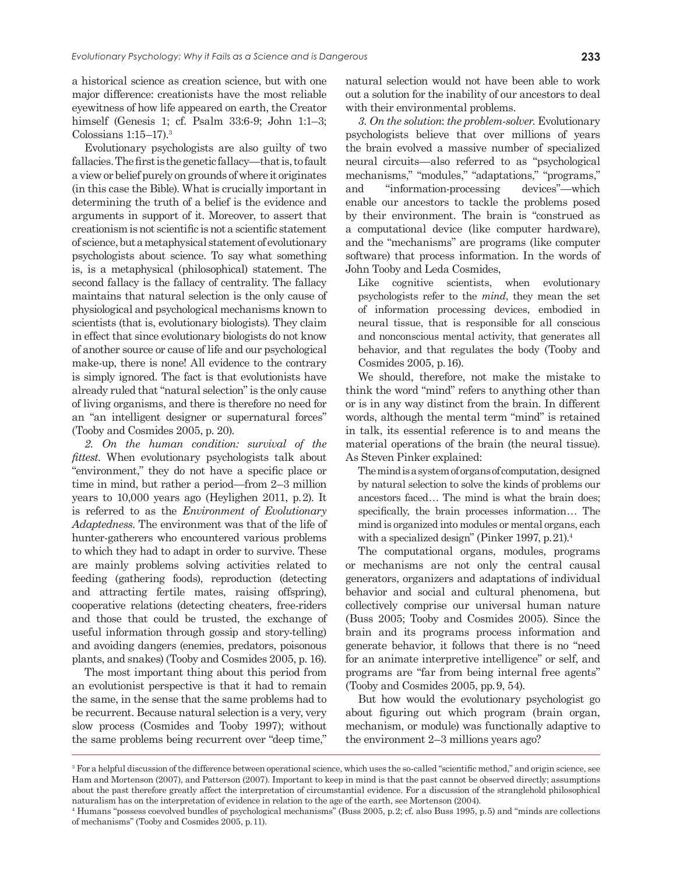a historical science as creation science, but with one major difference: creationists have the most reliable eyewitness of how life appeared on earth, the Creator himself (Genesis 1; cf. Psalm 33:6-9; John 1:1–3; Colossians  $1:15-17$ ).<sup>3</sup>

Evolutionary psychologists are also guilty of two fallacies. The first is the genetic fallacy—that is, to fault a view or belief purely on grounds of where it originates (in this case the Bible). What is crucially important in determining the truth of a belief is the evidence and arguments in support of it. Moreover, to assert that creationism is not scientific is not a scientific statement of science, but a metaphysical statement of evolutionary psychologists about science. To say what something is, is a metaphysical (philosophical) statement. The second fallacy is the fallacy of centrality. The fallacy maintains that natural selection is the only cause of physiological and psychological mechanisms known to scientists (that is, evolutionary biologists). They claim in effect that since evolutionary biologists do not know of another source or cause of life and our psychological make-up, there is none! All evidence to the contrary is simply ignored. The fact is that evolutionists have already ruled that "natural selection" is the only cause of living organisms, and there is therefore no need for an "an intelligent designer or supernatural forces" (Tooby and Cosmides 2005, p. 20).

*2. On the human condition: survival of the fittest*. When evolutionary psychologists talk about "environment," they do not have a specific place or time in mind, but rather a period—from 2–3 million years to 10,000 years ago (Heylighen 2011, p.2). It is referred to as the *Environment of Evolutionary Adaptedness*. The environment was that of the life of hunter-gatherers who encountered various problems to which they had to adapt in order to survive. These are mainly problems solving activities related to feeding (gathering foods), reproduction (detecting and attracting fertile mates, raising offspring), cooperative relations (detecting cheaters, free-riders and those that could be trusted, the exchange of useful information through gossip and story-telling) and avoiding dangers (enemies, predators, poisonous plants, and snakes) (Tooby and Cosmides 2005, p. 16).

The most important thing about this period from an evolutionist perspective is that it had to remain the same, in the sense that the same problems had to be recurrent. Because natural selection is a very, very slow process (Cosmides and Tooby 1997); without the same problems being recurrent over "deep time,"

natural selection would not have been able to work out a solution for the inability of our ancestors to deal with their environmental problems.

*3. On the solution*: *the problem-solver*. Evolutionary psychologists believe that over millions of years the brain evolved a massive number of specialized neural circuits—also referred to as "psychological mechanisms," "modules," "adaptations," "programs," and "information-processing devices"—which enable our ancestors to tackle the problems posed by their environment. The brain is "construed as a computational device (like computer hardware), and the "mechanisms" are programs (like computer software) that process information. In the words of John Tooby and Leda Cosmides,

Like cognitive scientists, when evolutionary psychologists refer to the *mind*, they mean the set of information processing devices, embodied in neural tissue, that is responsible for all conscious and nonconscious mental activity, that generates all behavior, and that regulates the body (Tooby and Cosmides 2005, p.16).

We should, therefore, not make the mistake to think the word "mind" refers to anything other than or is in any way distinct from the brain. In different words, although the mental term "mind" is retained in talk, its essential reference is to and means the material operations of the brain (the neural tissue). As Steven Pinker explained:

The mind is a system of organs of computation, designed by natural selection to solve the kinds of problems our ancestors faced... The mind is what the brain does; specifically, the brain processes information... The mind is organized into modules or mental organs, each with a specialized design" (Pinker 1997, p. 21).<sup>4</sup>

The computational organs, modules, programs or mechanisms are not only the central causal generators, organizers and adaptations of individual behavior and social and cultural phenomena, but collectively comprise our universal human nature (Buss 2005; Tooby and Cosmides 2005). Since the brain and its programs process information and generate behavior, it follows that there is no "need for an animate interpretive intelligence" or self, and programs are "far from being internal free agents" (Tooby and Cosmides 2005, pp.9, 54).

But how would the evolutionary psychologist go about figuring out which program (brain organ, mechanism, or module) was functionally adaptive to the environment 2–3 millions years ago?

<sup>3</sup> For a helpful discussion of the difference between operational science, which uses the so-called "scientific method," and origin science, see Ham and Mortenson (2007), and Patterson (2007). Important to keep in mind is that the past cannot be observed directly; assumptions about the past therefore greatly affect the interpretation of circumstantial evidence. For a discussion of the stranglehold philosophical naturalism has on the interpretation of evidence in relation to the age of the earth, see Mortenson (2004).

<sup>4</sup> Humans "possess coevolved bundles of psychological mechanisms" (Buss 2005, p.2; cf. also Buss 1995, p.5) and "minds are collections of mechanisms" (Tooby and Cosmides 2005, p.11).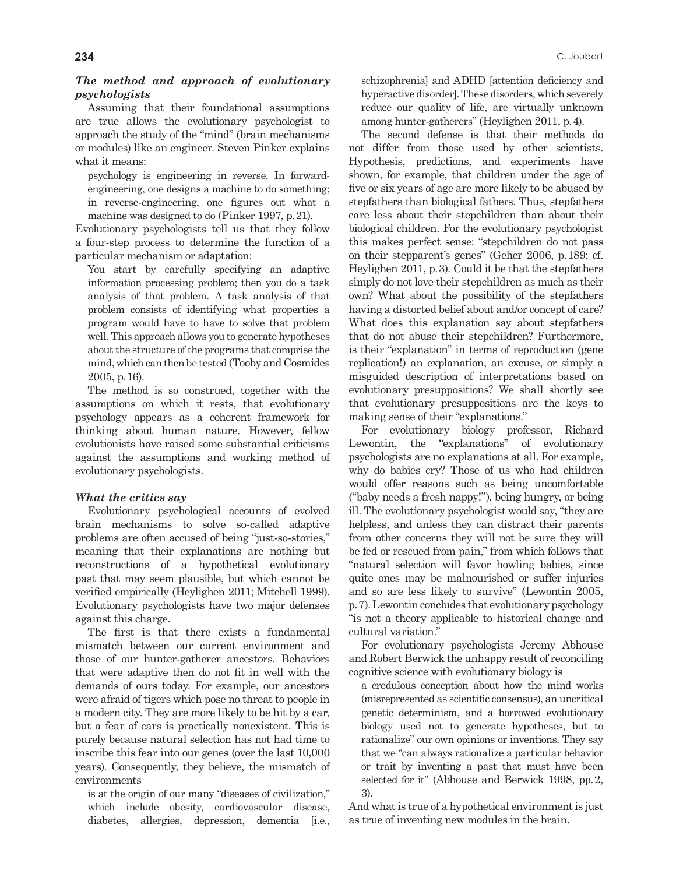# *The method and approach of evolutionary psychologists*

Assuming that their foundational assumptions are true allows the evolutionary psychologist to approach the study of the "mind" (brain mechanisms or modules) like an engineer. Steven Pinker explains what it means:

psychology is engineering in reverse. In forwardengineering, one designs a machine to do something; in reverse-engineering, one figures out what a machine was designed to do (Pinker 1997, p.21).

Evolutionary psychologists tell us that they follow a four-step process to determine the function of a particular mechanism or adaptation:

You start by carefully specifying an adaptive information processing problem; then you do a task analysis of that problem. A task analysis of that problem consists of identifying what properties a program would have to have to solve that problem well. This approach allows you to generate hypotheses about the structure of the programs that comprise the mind, which can then be tested (Tooby and Cosmides 2005, p.16).

The method is so construed, together with the assumptions on which it rests, that evolutionary psychology appears as a coherent framework for thinking about human nature. However, fellow evolutionists have raised some substantial criticisms against the assumptions and working method of evolutionary psychologists.

# *What the critics say*

Evolutionary psychological accounts of evolved brain mechanisms to solve so-called adaptive problems are often accused of being "just-so-stories," meaning that their explanations are nothing but reconstructions of a hypothetical evolutionary past that may seem plausible, but which cannot be verified empirically (Heylighen 2011; Mitchell 1999). Evolutionary psychologists have two major defenses against this charge.

The first is that there exists a fundamental mismatch between our current environment and those of our hunter-gatherer ancestors. Behaviors that were adaptive then do not fit in well with the demands of ours today. For example, our ancestors were afraid of tigers which pose no threat to people in a modern city. They are more likely to be hit by a car, but a fear of cars is practically nonexistent. This is purely because natural selection has not had time to inscribe this fear into our genes (over the last 10,000 years). Consequently, they believe, the mismatch of environments

is at the origin of our many "diseases of civilization," which include obesity, cardiovascular disease, diabetes, allergies, depression, dementia [i.e.,

schizophrenia] and ADHD [attention deficiency and hyperactive disorder]. These disorders, which severely reduce our quality of life, are virtually unknown among hunter-gatherers" (Heylighen 2011, p.4).

The second defense is that their methods do not differ from those used by other scientists. Hypothesis, predictions, and experiments have shown, for example, that children under the age of five or six years of age are more likely to be abused by stepfathers than biological fathers. Thus, stepfathers care less about their stepchildren than about their biological children. For the evolutionary psychologist this makes perfect sense: "stepchildren do not pass on their stepparent's genes" (Geher 2006, p.189; cf. Heylighen 2011, p.3). Could it be that the stepfathers simply do not love their stepchildren as much as their own? What about the possibility of the stepfathers having a distorted belief about and/or concept of care? What does this explanation say about stepfathers that do not abuse their stepchildren? Furthermore, is their "explanation" in terms of reproduction (gene replication!) an explanation, an excuse, or simply a misguided description of interpretations based on evolutionary presuppositions? We shall shortly see that evolutionary presuppositions are the keys to making sense of their "explanations."

For evolutionary biology professor, Richard Lewontin, the "explanations" of evolutionary psychologists are no explanations at all. For example, why do babies cry? Those of us who had children would offer reasons such as being uncomfortable ("baby needs a fresh nappy!"), being hungry, or being ill. The evolutionary psychologist would say, "they are helpless, and unless they can distract their parents from other concerns they will not be sure they will be fed or rescued from pain," from which follows that "natural selection will favor howling babies, since quite ones may be malnourished or suffer injuries and so are less likely to survive" (Lewontin 2005, p.7). Lewontin concludes that evolutionary psychology "is not a theory applicable to historical change and cultural variation."

For evolutionary psychologists Jeremy Abhouse and Robert Berwick the unhappy result of reconciling cognitive science with evolutionary biology is

a credulous conception about how the mind works (misrepresented as scientific consensus), an uncritical genetic determinism, and a borrowed evolutionary biology used not to generate hypotheses, but to rationalize" our own opinions or inventions. They say that we "can always rationalize a particular behavior or trait by inventing a past that must have been selected for it" (Abhouse and Berwick 1998, pp.2, 3).

And what is true of a hypothetical environment is just as true of inventing new modules in the brain.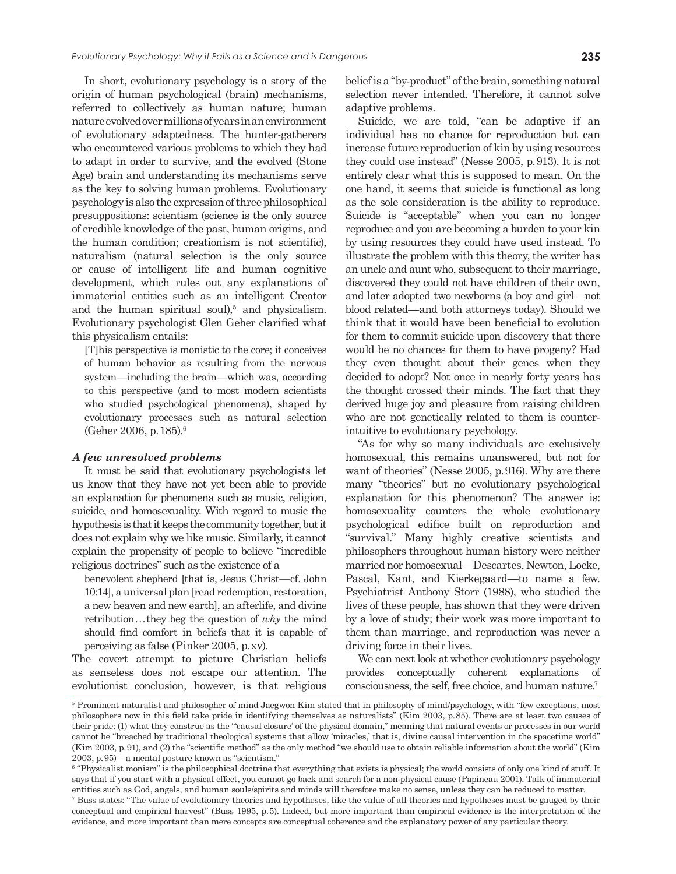In short, evolutionary psychology is a story of the origin of human psychological (brain) mechanisms, referred to collectively as human nature; human nature evolved over millions of years in an environment of evolutionary adaptedness. The hunter-gatherers who encountered various problems to which they had to adapt in order to survive, and the evolved (Stone Age) brain and understanding its mechanisms serve as the key to solving human problems. Evolutionary psychology is also the expression of three philosophical presuppositions: scientism (science is the only source of credible knowledge of the past, human origins, and the human condition; creationism is not scientific), naturalism (natural selection is the only source or cause of intelligent life and human cognitive development, which rules out any explanations of immaterial entities such as an intelligent Creator and the human spiritual soul), $5$  and physicalism. Evolutionary psychologist Glen Geher clarified what this physicalism entails:

[T]his perspective is monistic to the core; it conceives of human behavior as resulting from the nervous system—including the brain—which was, according to this perspective (and to most modern scientists who studied psychological phenomena), shaped by evolutionary processes such as natural selection (Geher 2006, p.185).6

#### *A few unresolved problems*

It must be said that evolutionary psychologists let us know that they have not yet been able to provide an explanation for phenomena such as music, religion, suicide, and homosexuality. With regard to music the hypothesis is that it keeps the community together, but it does not explain why we like music. Similarly, it cannot explain the propensity of people to believe "incredible religious doctrines" such as the existence of a

benevolent shepherd [that is, Jesus Christ—cf. John 10:14], a universal plan [read redemption, restoration, a new heaven and new earth], an afterlife, and divine retribution...they beg the question of *why* the mind should find comfort in beliefs that it is capable of perceiving as false (Pinker 2005, p.xv).

The covert attempt to picture Christian beliefs as senseless does not escape our attention. The evolutionist conclusion, however, is that religious belief is a "by-product" of the brain, something natural selection never intended. Therefore, it cannot solve adaptive problems.

Suicide, we are told, "can be adaptive if an individual has no chance for reproduction but can increase future reproduction of kin by using resources they could use instead" (Nesse 2005, p.913). It is not entirely clear what this is supposed to mean. On the one hand, it seems that suicide is functional as long as the sole consideration is the ability to reproduce. Suicide is "acceptable" when you can no longer reproduce and you are becoming a burden to your kin by using resources they could have used instead. To illustrate the problem with this theory, the writer has an uncle and aunt who, subsequent to their marriage, discovered they could not have children of their own, and later adopted two newborns (a boy and girl—not blood related—and both attorneys today). Should we think that it would have been beneficial to evolution for them to commit suicide upon discovery that there would be no chances for them to have progeny? Had they even thought about their genes when they decided to adopt? Not once in nearly forty years has the thought crossed their minds. The fact that they derived huge joy and pleasure from raising children who are not genetically related to them is counterintuitive to evolutionary psychology.

"As for why so many individuals are exclusively homosexual, this remains unanswered, but not for want of theories" (Nesse 2005, p.916). Why are there many "theories" but no evolutionary psychological explanation for this phenomenon? The answer is: homosexuality counters the whole evolutionary psychological edifice built on reproduction and "survival." Many highly creative scientists and philosophers throughout human history were neither married nor homosexual—Descartes, Newton, Locke, Pascal, Kant, and Kierkegaard—to name a few. Psychiatrist Anthony Storr (1988), who studied the lives of these people, has shown that they were driven by a love of study; their work was more important to them than marriage, and reproduction was never a driving force in their lives.

We can next look at whether evolutionary psychology provides conceptually coherent explanations of consciousness, the self, free choice, and human nature.7

<sup>&</sup>lt;sup>5</sup> Prominent naturalist and philosopher of mind Jaegwon Kim stated that in philosophy of mind/psychology, with "few exceptions, most philosophers now in this field take pride in identifying themselves as naturalists" (Kim 2003, p.85). There are at least two causes of their pride: (1) what they construe as the "'causal closure' of the physical domain," meaning that natural events or processes in our world cannot be "breached by traditional theological systems that allow 'miracles,' that is, divine causal intervention in the spacetime world" (Kim 2003, p.91), and (2) the "scientific method" as the only method "we should use to obtain reliable information about the world" (Kim 2003, p.95)—a mental posture known as "scientism."

<sup>&</sup>lt;sup>6</sup> "Physicalist monism" is the philosophical doctrine that everything that exists is physical; the world consists of only one kind of stuff. It says that if you start with a physical effect, you cannot go back and search for a non-physical cause (Papineau 2001). Talk of immaterial entities such as God, angels, and human souls/spirits and minds will therefore make no sense, unless they can be reduced to matter.

<sup>&</sup>lt;sup>7</sup> Buss states: "The value of evolutionary theories and hypotheses, like the value of all theories and hypotheses must be gauged by their conceptual and empirical harvest" (Buss 1995, p.5). Indeed, but more important than empirical evidence is the interpretation of the evidence, and more important than mere concepts are conceptual coherence and the explanatory power of any particular theory.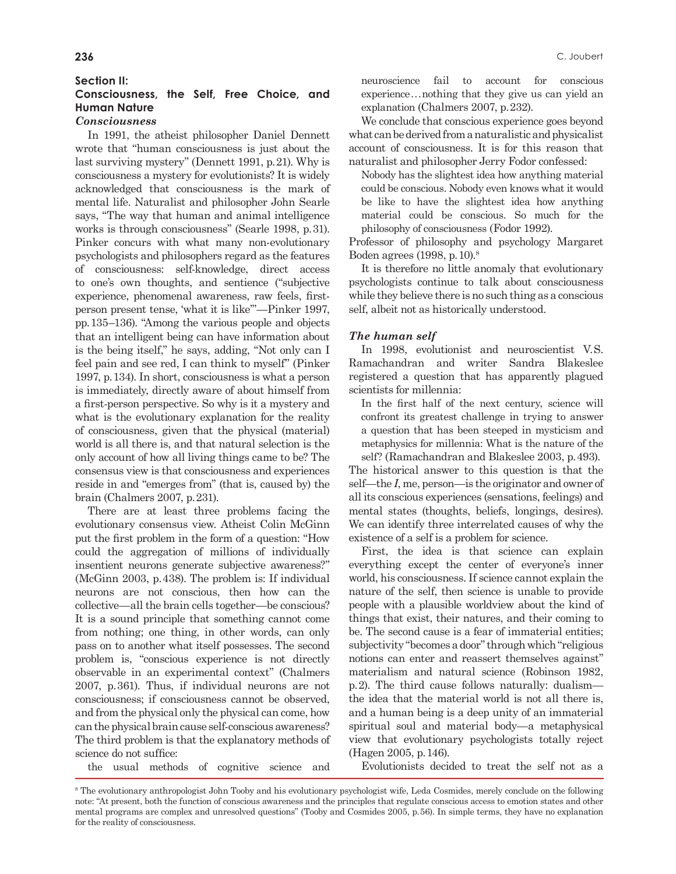# **Section II:**

# **Consciousness, the Self, Free Choice, and Human Nature**

# *Consciousness*

In 1991, the atheist philosopher Daniel Dennett wrote that "human consciousness is just about the last surviving mystery" (Dennett 1991, p.21). Why is consciousness a mystery for evolutionists? It is widely acknowledged that consciousness is the mark of mental life. Naturalist and philosopher John Searle says, "The way that human and animal intelligence works is through consciousness" (Searle 1998, p.31). Pinker concurs with what many non-evolutionary psychologists and philosophers regard as the features of consciousness: self-knowledge, direct access to one's own thoughts, and sentience ("subjective experience, phenomenal awareness, raw feels, firstperson present tense, 'what it is like'"—Pinker 1997, pp.135–136). "Among the various people and objects that an intelligent being can have information about is the being itself," he says, adding, "Not only can I feel pain and see red, I can think to myself" (Pinker 1997, p.134). In short, consciousness is what a person is immediately, directly aware of about himself from a first-person perspective. So why is it a mystery and what is the evolutionary explanation for the reality of consciousness, given that the physical (material) world is all there is, and that natural selection is the only account of how all living things came to be? The consensus view is that consciousness and experiences reside in and "emerges from" (that is, caused by) the brain (Chalmers 2007, p.231).

There are at least three problems facing the evolutionary consensus view. Atheist Colin McGinn put the first problem in the form of a question: "How could the aggregation of millions of individually insentient neurons generate subjective awareness?" (McGinn 2003, p.438). The problem is: If individual neurons are not conscious, then how can the collective—all the brain cells together—be conscious? It is a sound principle that something cannot come from nothing; one thing, in other words, can only pass on to another what itself possesses. The second problem is, "conscious experience is not directly observable in an experimental context" (Chalmers 2007, p.361). Thus, if individual neurons are not consciousness; if consciousness cannot be observed, and from the physical only the physical can come, how can the physical brain cause self-conscious awareness? The third problem is that the explanatory methods of science do not suffice:

the usual methods of cognitive science and

neuroscience fail to account for conscious experience...nothing that they give us can yield an explanation (Chalmers 2007, p.232).

We conclude that conscious experience goes beyond what can be derived from a naturalistic and physicalist account of consciousness. It is for this reason that naturalist and philosopher Jerry Fodor confessed:

Nobody has the slightest idea how anything material could be conscious. Nobody even knows what it would be like to have the slightest idea how anything material could be conscious. So much for the philosophy of consciousness (Fodor 1992).

Professor of philosophy and psychology Margaret Boden agrees (1998, p.10).8

It is therefore no little anomaly that evolutionary psychologists continue to talk about consciousness while they believe there is no such thing as a conscious self, albeit not as historically understood.

#### *The human self*

In 1998, evolutionist and neuroscientist V.S. Ramachandran and writer Sandra Blakeslee registered a question that has apparently plagued scientists for millennia:

In the first half of the next century, science will confront its greatest challenge in trying to answer a question that has been steeped in mysticism and metaphysics for millennia: What is the nature of the self? (Ramachandran and Blakeslee 2003, p.493).

The historical answer to this question is that the self—the *I*, me, person—is the originator and owner of all its conscious experiences (sensations, feelings) and mental states (thoughts, beliefs, longings, desires). We can identify three interrelated causes of why the existence of a self is a problem for science.

First, the idea is that science can explain everything except the center of everyone's inner world, his consciousness. If science cannot explain the nature of the self, then science is unable to provide people with a plausible worldview about the kind of things that exist, their natures, and their coming to be. The second cause is a fear of immaterial entities; subjectivity "becomes a door" through which "religious notions can enter and reassert themselves against" materialism and natural science (Robinson 1982, p.2). The third cause follows naturally: dualism the idea that the material world is not all there is, and a human being is a deep unity of an immaterial spiritual soul and material body—a metaphysical view that evolutionary psychologists totally reject (Hagen 2005, p.146).

Evolutionists decided to treat the self not as a

<sup>&</sup>lt;sup>8</sup> The evolutionary anthropologist John Tooby and his evolutionary psychologist wife, Leda Cosmides, merely conclude on the following note: "At present, both the function of conscious awareness and the principles that regulate conscious access to emotion states and other mental programs are complex and unresolved questions" (Tooby and Cosmides 2005, p.56). In simple terms, they have no explanation for the reality of consciousness.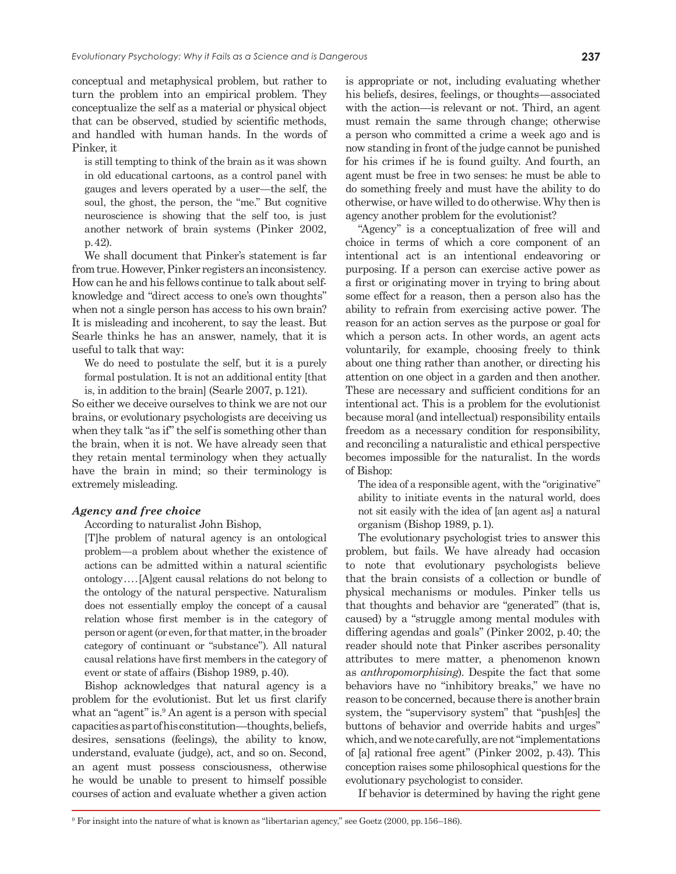conceptual and metaphysical problem, but rather to turn the problem into an empirical problem. They conceptualize the self as a material or physical object that can be observed, studied by scientific methods, and handled with human hands. In the words of Pinker, it

is still tempting to think of the brain as it was shown in old educational cartoons, as a control panel with gauges and levers operated by a user—the self, the soul, the ghost, the person, the "me." But cognitive neuroscience is showing that the self too, is just another network of brain systems (Pinker 2002, p.42).

We shall document that Pinker's statement is far from true. However, Pinker registers an inconsistency. How can he and his fellows continue to talk about selfknowledge and "direct access to one's own thoughts" when not a single person has access to his own brain? It is misleading and incoherent, to say the least. But Searle thinks he has an answer, namely, that it is useful to talk that way:

We do need to postulate the self, but it is a purely formal postulation. It is not an additional entity [that is, in addition to the brain] (Searle 2007, p.121).

So either we deceive ourselves to think we are not our brains, or evolutionary psychologists are deceiving us when they talk "as if" the self is something other than the brain, when it is not. We have already seen that they retain mental terminology when they actually have the brain in mind; so their terminology is extremely misleading.

# *Agency and free choice*

#### According to naturalist John Bishop,

[T]he problem of natural agency is an ontological problem—a problem about whether the existence of actions can be admitted within a natural scientific ontology....[A]gent causal relations do not belong to the ontology of the natural perspective. Naturalism does not essentially employ the concept of a causal relation whose first member is in the category of person or agent (or even, for that matter, in the broader category of continuant or "substance"). All natural causal relations have first members in the category of event or state of affairs (Bishop 1989, p.40).

Bishop acknowledges that natural agency is a problem for the evolutionist. But let us first clarify what an "agent" is.<sup>9</sup> An agent is a person with special capacities as part of his constitution—thoughts, beliefs, desires, sensations (feelings), the ability to know, understand, evaluate (judge), act, and so on. Second, an agent must possess consciousness, otherwise he would be unable to present to himself possible courses of action and evaluate whether a given action

is appropriate or not, including evaluating whether his beliefs, desires, feelings, or thoughts—associated with the action—is relevant or not. Third, an agent must remain the same through change; otherwise a person who committed a crime a week ago and is now standing in front of the judge cannot be punished for his crimes if he is found guilty. And fourth, an agent must be free in two senses: he must be able to do something freely and must have the ability to do otherwise, or have willed to do otherwise. Why then is agency another problem for the evolutionist?

"Agency" is a conceptualization of free will and choice in terms of which a core component of an intentional act is an intentional endeavoring or purposing. If a person can exercise active power as a first or originating mover in trying to bring about some effect for a reason, then a person also has the ability to refrain from exercising active power. The reason for an action serves as the purpose or goal for which a person acts. In other words, an agent acts voluntarily, for example, choosing freely to think about one thing rather than another, or directing his attention on one object in a garden and then another. These are necessary and sufficient conditions for an intentional act. This is a problem for the evolutionist because moral (and intellectual) responsibility entails freedom as a necessary condition for responsibility, and reconciling a naturalistic and ethical perspective becomes impossible for the naturalist. In the words of Bishop:

The idea of a responsible agent, with the "originative" ability to initiate events in the natural world, does not sit easily with the idea of [an agent as] a natural organism (Bishop 1989, p.1).

The evolutionary psychologist tries to answer this problem, but fails. We have already had occasion to note that evolutionary psychologists believe that the brain consists of a collection or bundle of physical mechanisms or modules. Pinker tells us that thoughts and behavior are "generated" (that is, caused) by a "struggle among mental modules with differing agendas and goals" (Pinker 2002, p.40; the reader should note that Pinker ascribes personality attributes to mere matter, a phenomenon known as *anthropomorphising*). Despite the fact that some behaviors have no "inhibitory breaks," we have no reason to be concerned, because there is another brain system, the "supervisory system" that "push[es] the buttons of behavior and override habits and urges" which, and we note carefully, are not "implementations of [a] rational free agent" (Pinker 2002, p.43). This conception raises some philosophical questions for the evolutionary psychologist to consider.

If behavior is determined by having the right gene

<sup>9</sup> For insight into the nature of what is known as "libertarian agency," see Goetz (2000, pp.156–186).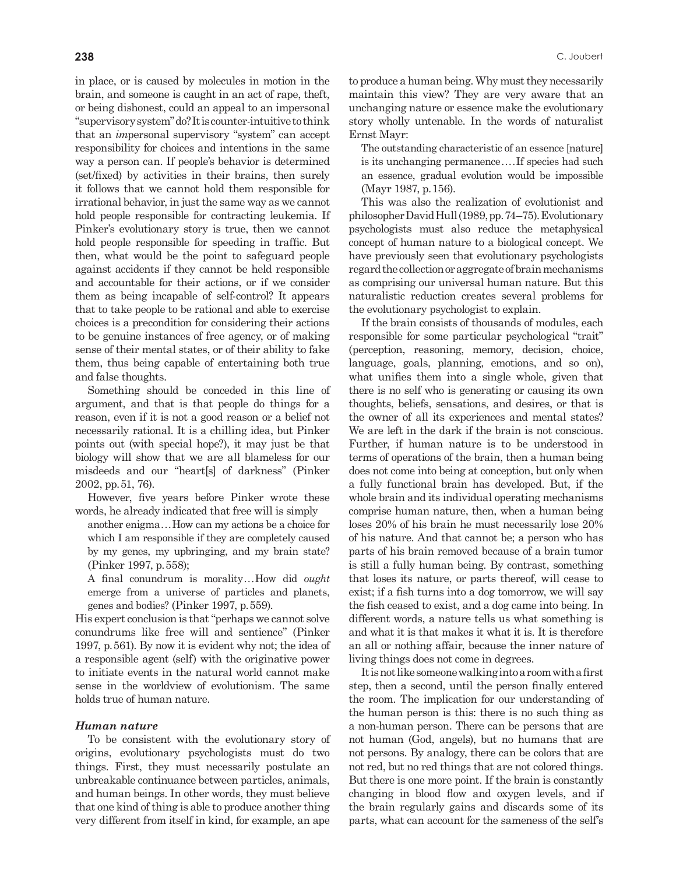in place, or is caused by molecules in motion in the brain, and someone is caught in an act of rape, theft, or being dishonest, could an appeal to an impersonal "supervisory system" do? It is counter-intuitive to think that an *im*personal supervisory "system" can accept responsibility for choices and intentions in the same way a person can. If people's behavior is determined (set/fixed) by activities in their brains, then surely it follows that we cannot hold them responsible for irrational behavior, in just the same way as we cannot hold people responsible for contracting leukemia. If Pinker's evolutionary story is true, then we cannot hold people responsible for speeding in traffic. But then, what would be the point to safeguard people against accidents if they cannot be held responsible and accountable for their actions, or if we consider them as being incapable of self-control? It appears that to take people to be rational and able to exercise choices is a precondition for considering their actions to be genuine instances of free agency, or of making sense of their mental states, or of their ability to fake them, thus being capable of entertaining both true and false thoughts.

Something should be conceded in this line of argument, and that is that people do things for a reason, even if it is not a good reason or a belief not necessarily rational. It is a chilling idea, but Pinker points out (with special hope?), it may just be that biology will show that we are all blameless for our misdeeds and our "heart[s] of darkness" (Pinker 2002, pp.51, 76).

However, five years before Pinker wrote these words, he already indicated that free will is simply

another enigma...How can my actions be a choice for which I am responsible if they are completely caused by my genes, my upbringing, and my brain state? (Pinker 1997, p.558);

A final conundrum is morality...How did *ought* emerge from a universe of particles and planets, genes and bodies? (Pinker 1997, p.559).

His expert conclusion is that "perhaps we cannot solve conundrums like free will and sentience" (Pinker 1997, p.561). By now it is evident why not; the idea of a responsible agent (self) with the originative power to initiate events in the natural world cannot make sense in the worldview of evolutionism. The same holds true of human nature.

#### *Human nature*

To be consistent with the evolutionary story of origins, evolutionary psychologists must do two things. First, they must necessarily postulate an unbreakable continuance between particles, animals, and human beings. In other words, they must believe that one kind of thing is able to produce another thing very different from itself in kind, for example, an ape

to produce a human being. Why must they necessarily maintain this view? They are very aware that an unchanging nature or essence make the evolutionary story wholly untenable. In the words of naturalist Ernst Mayr:

The outstanding characteristic of an essence [nature] is its unchanging permanence....If species had such an essence, gradual evolution would be impossible (Mayr 1987, p.156).

This was also the realization of evolutionist and philosopher David Hull (1989, pp.74–75). Evolutionary psychologists must also reduce the metaphysical concept of human nature to a biological concept. We have previously seen that evolutionary psychologists regard the collection or aggregate of brain mechanisms as comprising our universal human nature. But this naturalistic reduction creates several problems for the evolutionary psychologist to explain.

If the brain consists of thousands of modules, each responsible for some particular psychological "trait" (perception, reasoning, memory, decision, choice, language, goals, planning, emotions, and so on), what unifies them into a single whole, given that there is no self who is generating or causing its own thoughts, beliefs, sensations, and desires, or that is the owner of all its experiences and mental states? We are left in the dark if the brain is not conscious. Further, if human nature is to be understood in terms of operations of the brain, then a human being does not come into being at conception, but only when a fully functional brain has developed. But, if the whole brain and its individual operating mechanisms comprise human nature, then, when a human being loses 20% of his brain he must necessarily lose 20% of his nature. And that cannot be; a person who has parts of his brain removed because of a brain tumor is still a fully human being. By contrast, something that loses its nature, or parts thereof, will cease to exist; if a fish turns into a dog tomorrow, we will say the fish ceased to exist, and a dog came into being. In different words, a nature tells us what something is and what it is that makes it what it is. It is therefore an all or nothing affair, because the inner nature of living things does not come in degrees.

It is not like someone walking into a room with a first step, then a second, until the person finally entered the room. The implication for our understanding of the human person is this: there is no such thing as a non-human person. There can be persons that are not human (God, angels), but no humans that are not persons. By analogy, there can be colors that are not red, but no red things that are not colored things. But there is one more point. If the brain is constantly changing in blood flow and oxygen levels, and if the brain regularly gains and discards some of its parts, what can account for the sameness of the self's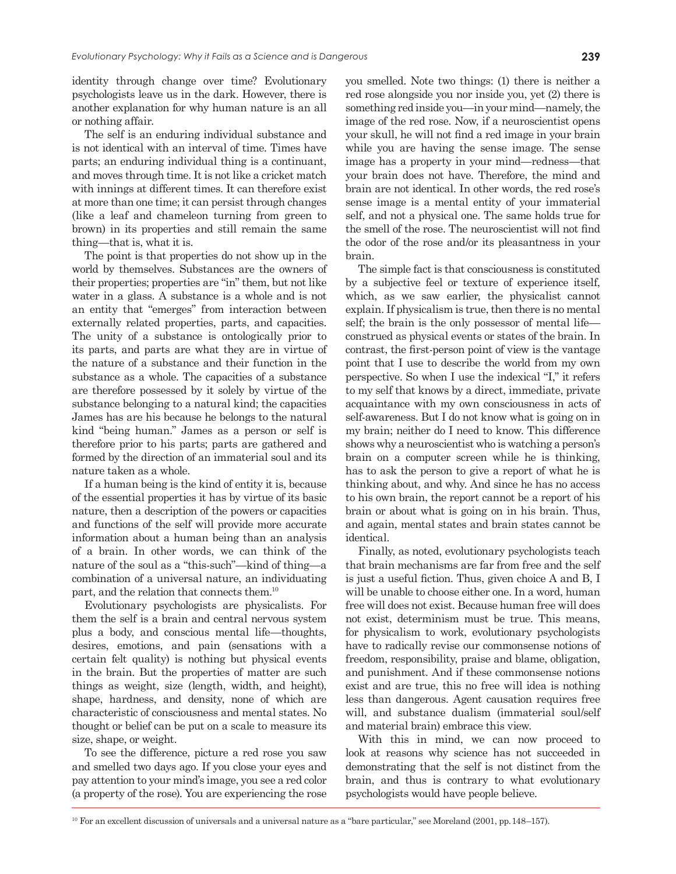identity through change over time? Evolutionary psychologists leave us in the dark. However, there is another explanation for why human nature is an all or nothing affair.

The self is an enduring individual substance and is not identical with an interval of time. Times have parts; an enduring individual thing is a continuant, and moves through time. It is not like a cricket match with innings at different times. It can therefore exist at more than one time; it can persist through changes (like a leaf and chameleon turning from green to brown) in its properties and still remain the same thing—that is, what it is.

The point is that properties do not show up in the world by themselves. Substances are the owners of their properties; properties are "in" them, but not like water in a glass. A substance is a whole and is not an entity that "emerges" from interaction between externally related properties, parts, and capacities. The unity of a substance is ontologically prior to its parts, and parts are what they are in virtue of the nature of a substance and their function in the substance as a whole. The capacities of a substance are therefore possessed by it solely by virtue of the substance belonging to a natural kind; the capacities James has are his because he belongs to the natural kind "being human." James as a person or self is therefore prior to his parts; parts are gathered and formed by the direction of an immaterial soul and its nature taken as a whole.

If a human being is the kind of entity it is, because of the essential properties it has by virtue of its basic nature, then a description of the powers or capacities and functions of the self will provide more accurate information about a human being than an analysis of a brain. In other words, we can think of the nature of the soul as a "this-such"—kind of thing—a combination of a universal nature, an individuating part, and the relation that connects them.10

Evolutionary psychologists are physicalists. For them the self is a brain and central nervous system plus a body, and conscious mental life—thoughts, desires, emotions, and pain (sensations with a certain felt quality) is nothing but physical events in the brain. But the properties of matter are such things as weight, size (length, width, and height), shape, hardness, and density, none of which are characteristic of consciousness and mental states. No thought or belief can be put on a scale to measure its size, shape, or weight.

To see the difference, picture a red rose you saw and smelled two days ago. If you close your eyes and pay attention to your mind's image, you see a red color (a property of the rose). You are experiencing the rose you smelled. Note two things: (1) there is neither a red rose alongside you nor inside you, yet (2) there is something red inside you—in your mind—namely, the image of the red rose. Now, if a neuroscientist opens your skull, he will not find a red image in your brain while you are having the sense image. The sense image has a property in your mind—redness—that your brain does not have. Therefore, the mind and brain are not identical. In other words, the red rose's sense image is a mental entity of your immaterial self, and not a physical one. The same holds true for the smell of the rose. The neuroscientist will not find the odor of the rose and/or its pleasantness in your brain.

The simple fact is that consciousness is constituted by a subjective feel or texture of experience itself, which, as we saw earlier, the physicalist cannot explain. If physicalism is true, then there is no mental self; the brain is the only possessor of mental life construed as physical events or states of the brain. In contrast, the first-person point of view is the vantage point that I use to describe the world from my own perspective. So when I use the indexical "I," it refers to my self that knows by a direct, immediate, private acquaintance with my own consciousness in acts of self-awareness. But I do not know what is going on in my brain; neither do I need to know. This difference shows why a neuroscientist who is watching a person's brain on a computer screen while he is thinking, has to ask the person to give a report of what he is thinking about, and why. And since he has no access to his own brain, the report cannot be a report of his brain or about what is going on in his brain. Thus, and again, mental states and brain states cannot be identical.

Finally, as noted, evolutionary psychologists teach that brain mechanisms are far from free and the self is just a useful fiction. Thus, given choice A and B, I will be unable to choose either one. In a word, human free will does not exist. Because human free will does not exist, determinism must be true. This means, for physicalism to work, evolutionary psychologists have to radically revise our commonsense notions of freedom, responsibility, praise and blame, obligation, and punishment. And if these commonsense notions exist and are true, this no free will idea is nothing less than dangerous. Agent causation requires free will, and substance dualism (immaterial soul/self and material brain) embrace this view.

With this in mind, we can now proceed to look at reasons why science has not succeeded in demonstrating that the self is not distinct from the brain, and thus is contrary to what evolutionary psychologists would have people believe.

10 For an excellent discussion of universals and a universal nature as a "bare particular," see Moreland (2001, pp.148–157).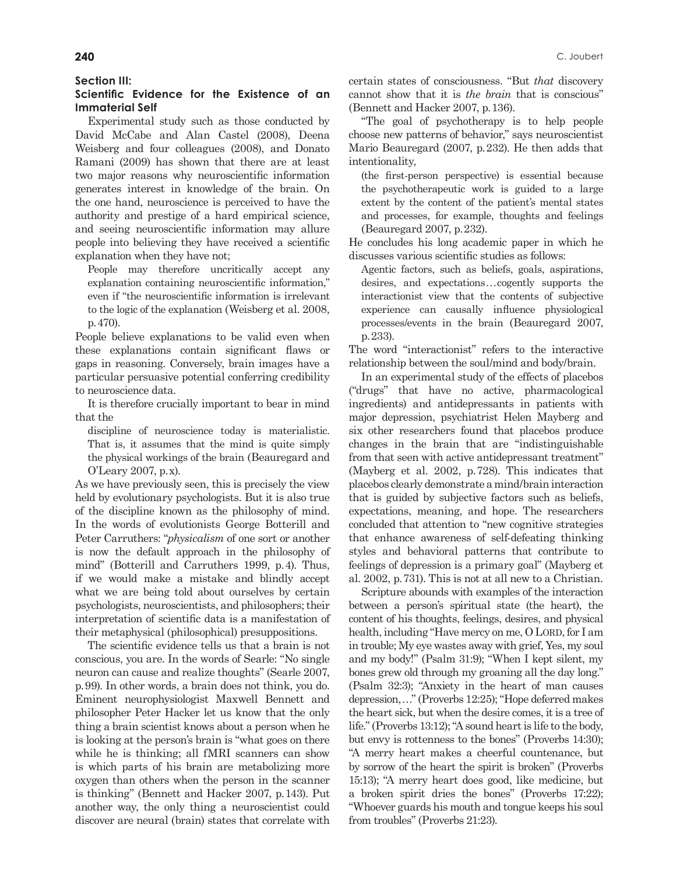#### **Section III:**

# **Scientific Evidence for the Existence of an Immaterial Self**

Experimental study such as those conducted by David McCabe and Alan Castel (2008), Deena Weisberg and four colleagues (2008), and Donato Ramani (2009) has shown that there are at least two major reasons why neuroscientific information generates interest in knowledge of the brain. On the one hand, neuroscience is perceived to have the authority and prestige of a hard empirical science, and seeing neuroscientific information may allure people into believing they have received a scientific explanation when they have not;

People may therefore uncritically accept any explanation containing neuroscientific information," even if "the neuroscientific information is irrelevant to the logic of the explanation (Weisberg et al. 2008, p.470).

People believe explanations to be valid even when these explanations contain significant flaws or gaps in reasoning. Conversely, brain images have a particular persuasive potential conferring credibility to neuroscience data.

It is therefore crucially important to bear in mind that the

discipline of neuroscience today is materialistic. That is, it assumes that the mind is quite simply the physical workings of the brain (Beauregard and O'Leary 2007, p.x).

As we have previously seen, this is precisely the view held by evolutionary psychologists. But it is also true of the discipline known as the philosophy of mind. In the words of evolutionists George Botterill and Peter Carruthers: "*physicalism* of one sort or another is now the default approach in the philosophy of mind" (Botterill and Carruthers 1999, p.4). Thus, if we would make a mistake and blindly accept what we are being told about ourselves by certain psychologists, neuroscientists, and philosophers; their interpretation of scientific data is a manifestation of their metaphysical (philosophical) presuppositions.

The scientific evidence tells us that a brain is not conscious, you are. In the words of Searle: "No single neuron can cause and realize thoughts" (Searle 2007, p.99). In other words, a brain does not think, you do. Eminent neurophysiologist Maxwell Bennett and philosopher Peter Hacker let us know that the only thing a brain scientist knows about a person when he is looking at the person's brain is "what goes on there while he is thinking; all fMRI scanners can show is which parts of his brain are metabolizing more oxygen than others when the person in the scanner is thinking" (Bennett and Hacker 2007, p.143). Put another way, the only thing a neuroscientist could discover are neural (brain) states that correlate with

certain states of consciousness. "But *that* discovery cannot show that it is *the brain* that is conscious" (Bennett and Hacker 2007, p.136).

"The goal of psychotherapy is to help people choose new patterns of behavior," says neuroscientist Mario Beauregard (2007, p.232). He then adds that intentionality,

(the first-person perspective) is essential because the psychotherapeutic work is guided to a large extent by the content of the patient's mental states and processes, for example, thoughts and feelings (Beauregard 2007, p.232).

He concludes his long academic paper in which he discusses various scientific studies as follows:

Agentic factors, such as beliefs, goals, aspirations, desires, and expectations...cogently supports the interactionist view that the contents of subjective experience can causally influence physiological processes/events in the brain (Beauregard 2007, p.233).

The word "interactionist" refers to the interactive relationship between the soul/mind and body/brain.

In an experimental study of the effects of placebos ("drugs" that have no active, pharmacological ingredients) and antidepressants in patients with major depression, psychiatrist Helen Mayberg and six other researchers found that placebos produce changes in the brain that are "indistinguishable from that seen with active antidepressant treatment" (Mayberg et al. 2002, p.728). This indicates that placebos clearly demonstrate a mind/brain interaction that is guided by subjective factors such as beliefs, expectations, meaning, and hope. The researchers concluded that attention to "new cognitive strategies that enhance awareness of self-defeating thinking styles and behavioral patterns that contribute to feelings of depression is a primary goal" (Mayberg et al. 2002, p.731). This is not at all new to a Christian.

Scripture abounds with examples of the interaction between a person's spiritual state (the heart), the content of his thoughts, feelings, desires, and physical health, including "Have mercy on me, O LORD, for I am in trouble; My eye wastes away with grief, Yes, my soul and my body!" (Psalm 31:9); "When I kept silent, my bones grew old through my groaning all the day long." (Psalm 32:3); "Anxiety in the heart of man causes depression,..." (Proverbs 12:25); "Hope deferred makes the heart sick, but when the desire comes, it is a tree of life." (Proverbs 13:12); "A sound heart is life to the body, but envy is rottenness to the bones" (Proverbs 14:30); "A merry heart makes a cheerful countenance, but by sorrow of the heart the spirit is broken" (Proverbs 15:13); "A merry heart does good, like medicine, but a broken spirit dries the bones" (Proverbs 17:22); "Whoever guards his mouth and tongue keeps his soul from troubles" (Proverbs 21:23).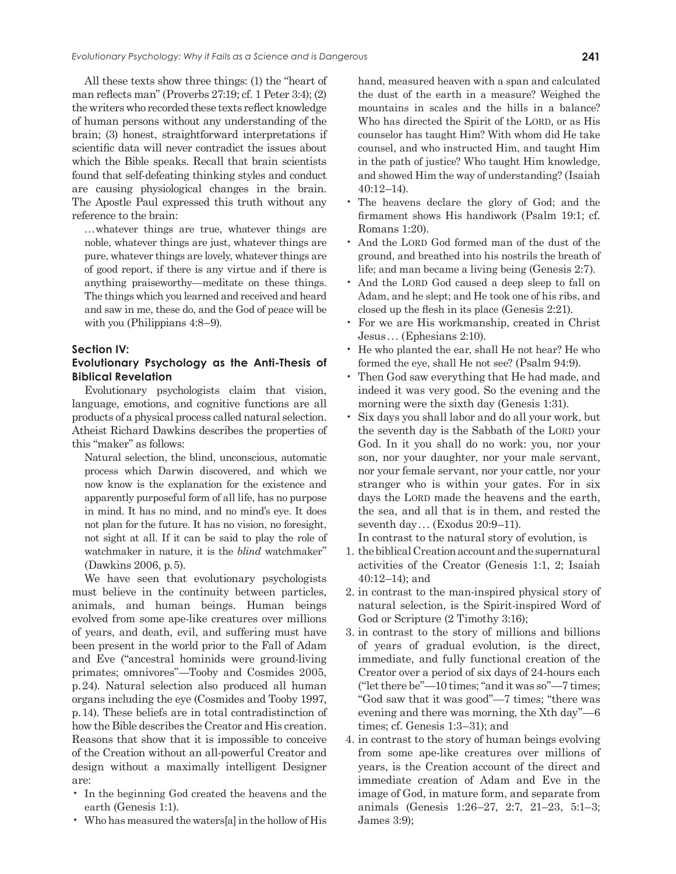All these texts show three things: (1) the "heart of man reflects man" (Proverbs 27:19; cf. 1 Peter 3:4); (2) the writers who recorded these texts reflect knowledge of human persons without any understanding of the brain; (3) honest, straightforward interpretations if scientific data will never contradict the issues about which the Bible speaks. Recall that brain scientists found that self-defeating thinking styles and conduct are causing physiological changes in the brain. The Apostle Paul expressed this truth without any reference to the brain:

...whatever things are true, whatever things are noble, whatever things are just, whatever things are pure, whatever things are lovely, whatever things are of good report, if there is any virtue and if there is anything praiseworthy—meditate on these things. The things which you learned and received and heard and saw in me, these do, and the God of peace will be with you (Philippians 4:8–9).

#### **Section IV:**

# **Evolutionary Psychology as the Anti-Thesis of Biblical Revelation**

Evolutionary psychologists claim that vision, language, emotions, and cognitive functions are all products of a physical process called natural selection. Atheist Richard Dawkins describes the properties of this "maker" as follows:

Natural selection, the blind, unconscious, automatic process which Darwin discovered, and which we now know is the explanation for the existence and apparently purposeful form of all life, has no purpose in mind. It has no mind, and no mind's eye. It does not plan for the future. It has no vision, no foresight, not sight at all. If it can be said to play the role of watchmaker in nature, it is the *blind* watchmaker" (Dawkins 2006, p.5).

We have seen that evolutionary psychologists must believe in the continuity between particles, animals, and human beings. Human beings evolved from some ape-like creatures over millions of years, and death, evil, and suffering must have been present in the world prior to the Fall of Adam and Eve ("ancestral hominids were ground-living primates; omnivores"—Tooby and Cosmides 2005, p.24). Natural selection also produced all human organs including the eye (Cosmides and Tooby 1997, p.14). These beliefs are in total contradistinction of how the Bible describes the Creator and His creation. Reasons that show that it is impossible to conceive of the Creation without an all-powerful Creator and design without a maximally intelligent Designer are:

- In the beginning God created the heavens and the earth (Genesis 1:1).
- Who has measured the waters[a] in the hollow of His

hand, measured heaven with a span and calculated the dust of the earth in a measure? Weighed the mountains in scales and the hills in a balance? Who has directed the Spirit of the LORD, or as His counselor has taught Him? With whom did He take counsel, and who instructed Him, and taught Him in the path of justice? Who taught Him knowledge, and showed Him the way of understanding? (Isaiah 40:12–14).

- The heavens declare the glory of God; and the firmament shows His handiwork (Psalm 19:1; cf. Romans 1:20).
- And the LORD God formed man of the dust of the ground, and breathed into his nostrils the breath of life; and man became a living being (Genesis 2:7).
- And the LORD God caused a deep sleep to fall on Adam, and he slept; and He took one of his ribs, and closed up the flesh in its place (Genesis 2:21).
- For we are His workmanship, created in Christ Jesus... (Ephesians 2:10).
- He who planted the ear, shall He not hear? He who formed the eye, shall He not see? (Psalm 94:9).
- Then God saw everything that He had made, and indeed it was very good. So the evening and the morning were the sixth day (Genesis 1:31).
- Six days you shall labor and do all your work, but the seventh day is the Sabbath of the LORD your God. In it you shall do no work: you, nor your son, nor your daughter, nor your male servant, nor your female servant, nor your cattle, nor your stranger who is within your gates. For in six days the LORD made the heavens and the earth, the sea, and all that is in them, and rested the seventh day... (Exodus 20:9–11).

In contrast to the natural story of evolution, is

- 1. the biblical Creation account and the supernatural activities of the Creator (Genesis 1:1, 2; Isaiah 40:12–14); and
- 2. in contrast to the man-inspired physical story of natural selection, is the Spirit-inspired Word of God or Scripture (2 Timothy 3:16);
- 3. in contrast to the story of millions and billions of years of gradual evolution, is the direct, immediate, and fully functional creation of the Creator over a period of six days of 24-hours each ("let there be"—10 times; "and it was so"—7 times; "God saw that it was good"—7 times; "there was evening and there was morning, the Xth day"—6 times; cf. Genesis 1:3–31); and
- 4. in contrast to the story of human beings evolving from some ape-like creatures over millions of years, is the Creation account of the direct and immediate creation of Adam and Eve in the image of God, in mature form, and separate from animals (Genesis 1:26–27, 2:7, 21–23, 5:1–3; James 3:9);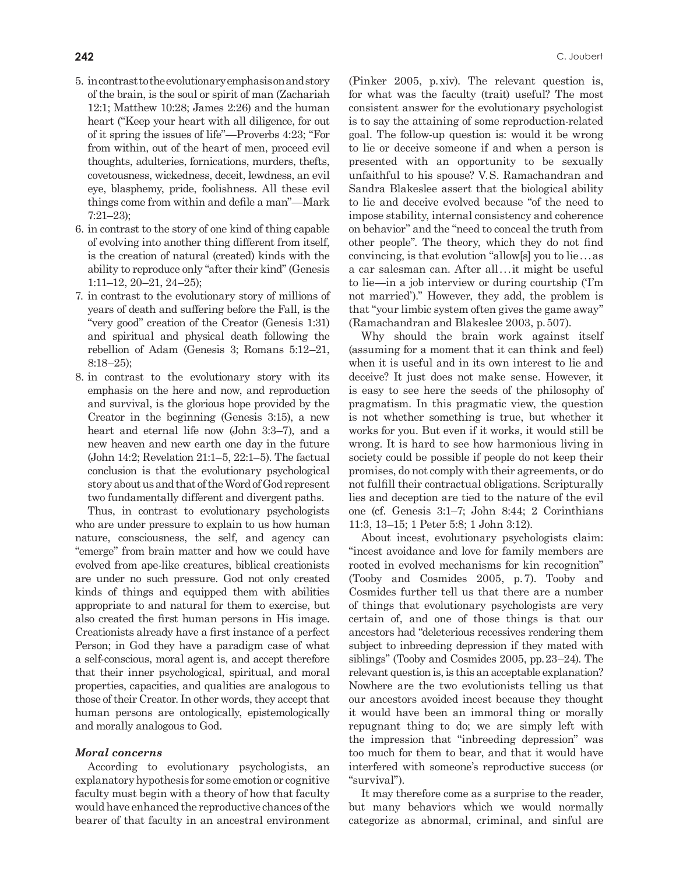- 5. in contrast to the evolutionary emphasis on and story of the brain, is the soul or spirit of man (Zachariah 12:1; Matthew 10:28; James 2:26) and the human heart ("Keep your heart with all diligence, for out of it spring the issues of life"—Proverbs 4:23; "For from within, out of the heart of men, proceed evil thoughts, adulteries, fornications, murders, thefts, covetousness, wickedness, deceit, lewdness, an evil eye, blasphemy, pride, foolishness. All these evil things come from within and defile a man"—Mark 7:21–23);
- 6. in contrast to the story of one kind of thing capable of evolving into another thing different from itself, is the creation of natural (created) kinds with the ability to reproduce only "after their kind" (Genesis 1:11–12, 20–21, 24–25);
- 7. in contrast to the evolutionary story of millions of years of death and suffering before the Fall, is the "very good" creation of the Creator (Genesis 1:31) and spiritual and physical death following the rebellion of Adam (Genesis 3; Romans 5:12–21, 8:18–25);
- 8. in contrast to the evolutionary story with its emphasis on the here and now, and reproduction and survival, is the glorious hope provided by the Creator in the beginning (Genesis 3:15), a new heart and eternal life now (John 3:3–7), and a new heaven and new earth one day in the future (John 14:2; Revelation 21:1–5, 22:1–5). The factual conclusion is that the evolutionary psychological story about us and that of the Word of God represent two fundamentally different and divergent paths.

Thus, in contrast to evolutionary psychologists who are under pressure to explain to us how human nature, consciousness, the self, and agency can "emerge" from brain matter and how we could have evolved from ape-like creatures, biblical creationists are under no such pressure. God not only created kinds of things and equipped them with abilities appropriate to and natural for them to exercise, but also created the first human persons in His image. Creationists already have a first instance of a perfect Person; in God they have a paradigm case of what a self-conscious, moral agent is, and accept therefore that their inner psychological, spiritual, and moral properties, capacities, and qualities are analogous to those of their Creator. In other words, they accept that human persons are ontologically, epistemologically and morally analogous to God.

# *Moral concerns*

According to evolutionary psychologists, an explanatory hypothesis for some emotion or cognitive faculty must begin with a theory of how that faculty would have enhanced the reproductive chances of the bearer of that faculty in an ancestral environment (Pinker 2005, p.xiv). The relevant question is, for what was the faculty (trait) useful? The most consistent answer for the evolutionary psychologist is to say the attaining of some reproduction-related goal. The follow-up question is: would it be wrong to lie or deceive someone if and when a person is presented with an opportunity to be sexually unfaithful to his spouse? V.S. Ramachandran and Sandra Blakeslee assert that the biological ability to lie and deceive evolved because "of the need to impose stability, internal consistency and coherence on behavior" and the "need to conceal the truth from other people". The theory, which they do not find convincing, is that evolution "allow[s] you to lie...as a car salesman can. After all...it might be useful to lie—in a job interview or during courtship ('I'm not married')." However, they add, the problem is that "your limbic system often gives the game away" (Ramachandran and Blakeslee 2003, p.507).

Why should the brain work against itself (assuming for a moment that it can think and feel) when it is useful and in its own interest to lie and deceive? It just does not make sense. However, it is easy to see here the seeds of the philosophy of pragmatism. In this pragmatic view, the question is not whether something is true, but whether it works for you. But even if it works, it would still be wrong. It is hard to see how harmonious living in society could be possible if people do not keep their promises, do not comply with their agreements, or do not fulfill their contractual obligations. Scripturally lies and deception are tied to the nature of the evil one (cf. Genesis 3:1–7; John 8:44; 2 Corinthians 11:3, 13–15; 1 Peter 5:8; 1 John 3:12).

About incest, evolutionary psychologists claim: "incest avoidance and love for family members are rooted in evolved mechanisms for kin recognition" (Tooby and Cosmides 2005, p.7). Tooby and Cosmides further tell us that there are a number of things that evolutionary psychologists are very certain of, and one of those things is that our ancestors had "deleterious recessives rendering them subject to inbreeding depression if they mated with siblings" (Tooby and Cosmides 2005, pp.23–24). The relevant question is, is this an acceptable explanation? Nowhere are the two evolutionists telling us that our ancestors avoided incest because they thought it would have been an immoral thing or morally repugnant thing to do; we are simply left with the impression that "inbreeding depression" was too much for them to bear, and that it would have interfered with someone's reproductive success (or "survival").

It may therefore come as a surprise to the reader, but many behaviors which we would normally categorize as abnormal, criminal, and sinful are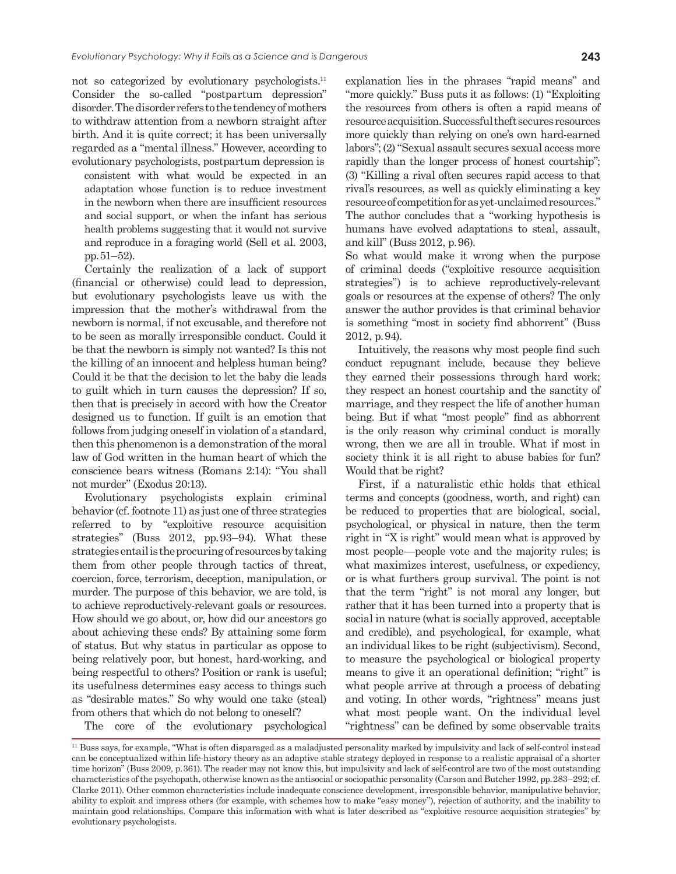not so categorized by evolutionary psychologists.<sup>11</sup> Consider the so-called "postpartum depression" disorder. The disorder refers to the tendency of mothers to withdraw attention from a newborn straight after birth. And it is quite correct; it has been universally regarded as a "mental illness." However, according to evolutionary psychologists, postpartum depression is

consistent with what would be expected in an adaptation whose function is to reduce investment in the newborn when there are insufficient resources and social support, or when the infant has serious health problems suggesting that it would not survive and reproduce in a foraging world (Sell et al. 2003, pp.51–52).

Certainly the realization of a lack of support (financial or otherwise) could lead to depression, but evolutionary psychologists leave us with the impression that the mother's withdrawal from the newborn is normal, if not excusable, and therefore not to be seen as morally irresponsible conduct. Could it be that the newborn is simply not wanted? Is this not the killing of an innocent and helpless human being? Could it be that the decision to let the baby die leads to guilt which in turn causes the depression? If so, then that is precisely in accord with how the Creator designed us to function. If guilt is an emotion that follows from judging oneself in violation of a standard, then this phenomenon is a demonstration of the moral law of God written in the human heart of which the conscience bears witness (Romans 2:14): "You shall not murder" (Exodus 20:13).

Evolutionary psychologists explain criminal behavior (cf. footnote 11) as just one of three strategies referred to by "exploitive resource acquisition strategies" (Buss 2012, pp.93–94). What these strategies entail is the procuring of resources by taking them from other people through tactics of threat, coercion, force, terrorism, deception, manipulation, or murder. The purpose of this behavior, we are told, is to achieve reproductively-relevant goals or resources. How should we go about, or, how did our ancestors go about achieving these ends? By attaining some form of status. But why status in particular as oppose to being relatively poor, but honest, hard-working, and being respectful to others? Position or rank is useful; its usefulness determines easy access to things such as "desirable mates." So why would one take (steal) from others that which do not belong to oneself?

The core of the evolutionary psychological

explanation lies in the phrases "rapid means" and "more quickly." Buss puts it as follows: (1) "Exploiting the resources from others is often a rapid means of resource acquisition. Successful theft secures resources more quickly than relying on one's own hard-earned labors"; (2) "Sexual assault secures sexual access more rapidly than the longer process of honest courtship"; (3) "Killing a rival often secures rapid access to that rival's resources, as well as quickly eliminating a key resource of competition for as yet-unclaimed resources." The author concludes that a "working hypothesis is humans have evolved adaptations to steal, assault, and kill" (Buss 2012, p.96).

So what would make it wrong when the purpose of criminal deeds ("exploitive resource acquisition strategies") is to achieve reproductively-relevant goals or resources at the expense of others? The only answer the author provides is that criminal behavior is something "most in society find abhorrent" (Buss 2012, p.94).

Intuitively, the reasons why most people find such conduct repugnant include, because they believe they earned their possessions through hard work; they respect an honest courtship and the sanctity of marriage, and they respect the life of another human being. But if what "most people" find as abhorrent is the only reason why criminal conduct is morally wrong, then we are all in trouble. What if most in society think it is all right to abuse babies for fun? Would that be right?

First, if a naturalistic ethic holds that ethical terms and concepts (goodness, worth, and right) can be reduced to properties that are biological, social, psychological, or physical in nature, then the term right in "X is right" would mean what is approved by most people—people vote and the majority rules; is what maximizes interest, usefulness, or expediency, or is what furthers group survival. The point is not that the term "right" is not moral any longer, but rather that it has been turned into a property that is social in nature (what is socially approved, acceptable and credible), and psychological, for example, what an individual likes to be right (subjectivism). Second, to measure the psychological or biological property means to give it an operational definition; "right" is what people arrive at through a process of debating and voting. In other words, "rightness" means just what most people want. On the individual level "rightness" can be defined by some observable traits

<sup>&</sup>lt;sup>11</sup> Buss says, for example, "What is often disparaged as a maladjusted personality marked by impulsivity and lack of self-control instead can be conceptualized within life-history theory as an adaptive stable strategy deployed in response to a realistic appraisal of a shorter time horizon" (Buss 2009, p.361). The reader may not know this, but impulsivity and lack of self-control are two of the most outstanding characteristics of the psychopath, otherwise known as the antisocial or sociopathic personality (Carson and Butcher 1992, pp.283–292; cf. Clarke 2011). Other common characteristics include inadequate conscience development, irresponsible behavior, manipulative behavior, ability to exploit and impress others (for example, with schemes how to make "easy money"), rejection of authority, and the inability to maintain good relationships. Compare this information with what is later described as "exploitive resource acquisition strategies" by evolutionary psychologists.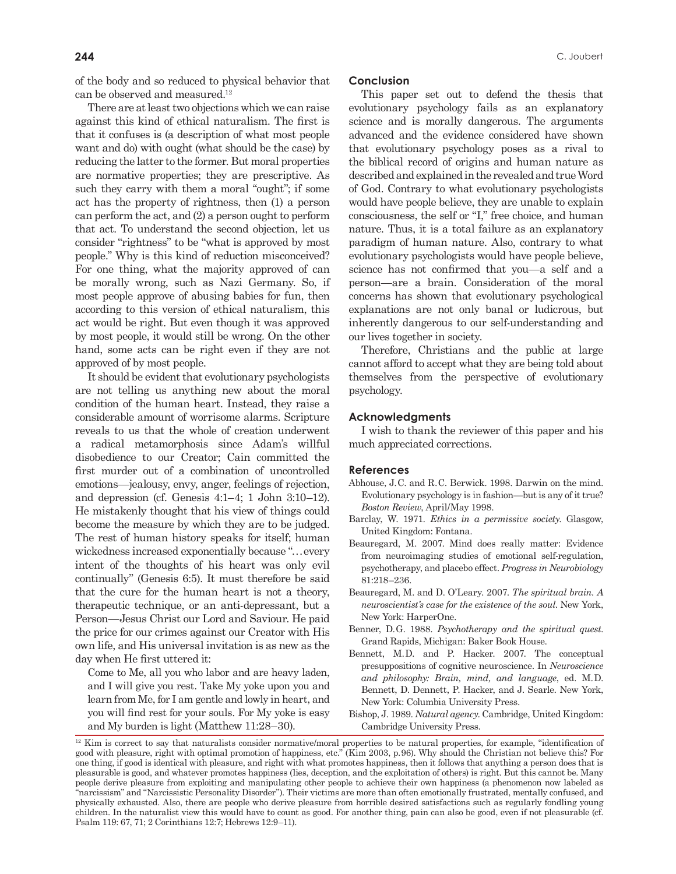of the body and so reduced to physical behavior that can be observed and measured.<sup>12</sup>

There are at least two objections which we can raise against this kind of ethical naturalism. The first is that it confuses is (a description of what most people want and do) with ought (what should be the case) by reducing the latter to the former. But moral properties are normative properties; they are prescriptive. As such they carry with them a moral "ought"; if some act has the property of rightness, then (1) a person can perform the act, and (2) a person ought to perform that act. To understand the second objection, let us consider "rightness" to be "what is approved by most people." Why is this kind of reduction misconceived? For one thing, what the majority approved of can be morally wrong, such as Nazi Germany. So, if most people approve of abusing babies for fun, then according to this version of ethical naturalism, this act would be right. But even though it was approved by most people, it would still be wrong. On the other hand, some acts can be right even if they are not approved of by most people.

It should be evident that evolutionary psychologists are not telling us anything new about the moral condition of the human heart. Instead, they raise a considerable amount of worrisome alarms. Scripture reveals to us that the whole of creation underwent a radical metamorphosis since Adam's willful disobedience to our Creator; Cain committed the first murder out of a combination of uncontrolled emotions—jealousy, envy, anger, feelings of rejection, and depression (cf. Genesis 4:1–4; 1 John 3:10–12). He mistakenly thought that his view of things could become the measure by which they are to be judged. The rest of human history speaks for itself; human wickedness increased exponentially because "...every intent of the thoughts of his heart was only evil continually" (Genesis 6:5). It must therefore be said that the cure for the human heart is not a theory, therapeutic technique, or an anti-depressant, but a Person—Jesus Christ our Lord and Saviour. He paid the price for our crimes against our Creator with His own life, and His universal invitation is as new as the day when He first uttered it:

Come to Me, all you who labor and are heavy laden, and I will give you rest. Take My yoke upon you and learn from Me, for I am gentle and lowly in heart, and you will find rest for your souls. For My yoke is easy and My burden is light (Matthew 11:28–30).

#### **Conclusion**

This paper set out to defend the thesis that evolutionary psychology fails as an explanatory science and is morally dangerous. The arguments advanced and the evidence considered have shown that evolutionary psychology poses as a rival to the biblical record of origins and human nature as described and explained in the revealed and true Word of God. Contrary to what evolutionary psychologists would have people believe, they are unable to explain consciousness, the self or "I," free choice, and human nature. Thus, it is a total failure as an explanatory paradigm of human nature. Also, contrary to what evolutionary psychologists would have people believe, science has not confirmed that you—a self and a person—are a brain. Consideration of the moral concerns has shown that evolutionary psychological explanations are not only banal or ludicrous, but inherently dangerous to our self-understanding and our lives together in society.

Therefore, Christians and the public at large cannot afford to accept what they are being told about themselves from the perspective of evolutionary psychology.

# **Acknowledgments**

I wish to thank the reviewer of this paper and his much appreciated corrections.

#### **References**

- Abhouse, J.C. and R.C. Berwick. 1998. Darwin on the mind. Evolutionary psychology is in fashion—but is any of it true? *Boston Review*, April/May 1998.
- Barclay, W. 1971. *Ethics in a permissive society*. Glasgow, United Kingdom: Fontana.
- Beauregard, M. 2007. Mind does really matter: Evidence from neuroimaging studies of emotional self-regulation, psychotherapy, and placebo effect. *Progress in Neurobiology* 81:218–236.
- Beauregard, M. and D. O'Leary. 2007. *The spiritual brain. A neuroscientist's case for the existence of the soul*. New York, New York: HarperOne.
- Benner, D.G. 1988. *Psychotherapy and the spiritual quest*. Grand Rapids, Michigan: Baker Book House.
- Bennett, M.D. and P. Hacker. 2007. The conceptual presuppositions of cognitive neuroscience. In *Neuroscience and philosophy: Brain, mind, and language*, ed. M.D. Bennett, D. Dennett, P. Hacker, and J. Searle. New York, New York: Columbia University Press.
- Bishop, J. 1989. *Natural agency*. Cambridge, United Kingdom: Cambridge University Press.

<sup>&</sup>lt;sup>12</sup> Kim is correct to say that naturalists consider normative/moral properties to be natural properties, for example, "identification of good with pleasure, right with optimal promotion of happiness, etc." (Kim 2003, p.96). Why should the Christian not believe this? For one thing, if good is identical with pleasure, and right with what promotes happiness, then it follows that anything a person does that is pleasurable is good, and whatever promotes happiness (lies, deception, and the exploitation of others) is right. But this cannot be. Many people derive pleasure from exploiting and manipulating other people to achieve their own happiness (a phenomenon now labeled as "narcissism" and "Narcissistic Personality Disorder"). Their victims are more than often emotionally frustrated, mentally confused, and physically exhausted. Also, there are people who derive pleasure from horrible desired satisfactions such as regularly fondling young children. In the naturalist view this would have to count as good. For another thing, pain can also be good, even if not pleasurable (cf. Psalm 119: 67, 71; 2 Corinthians 12:7; Hebrews 12:9–11).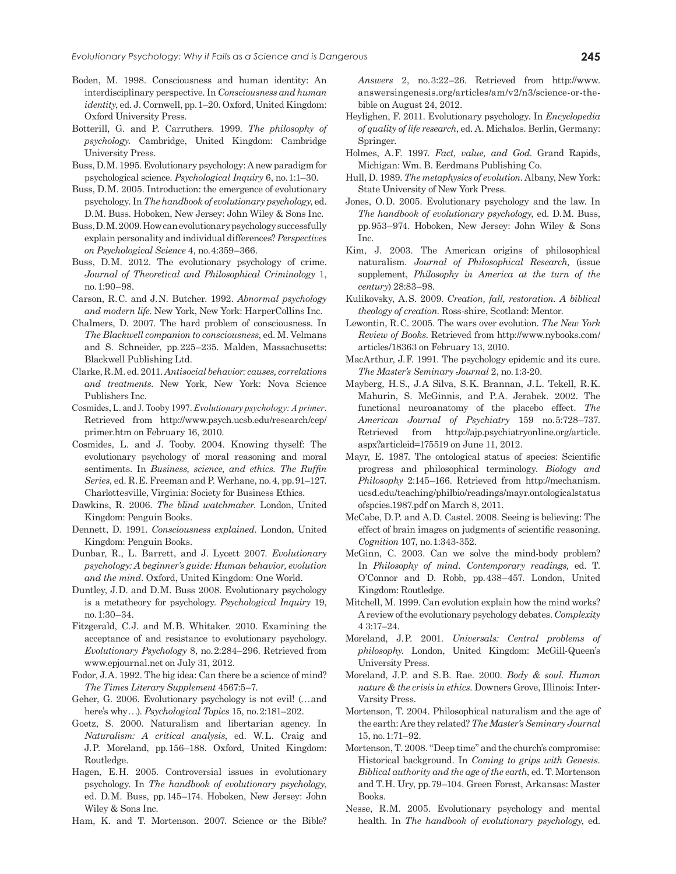- Boden, M. 1998. Consciousness and human identity: An interdisciplinary perspective. In *Consciousness and human identity*, ed. J. Cornwell, pp.1–20. Oxford, United Kingdom: Oxford University Press.
- Botterill, G. and P. Carruthers. 1999. *The philosophy of psychology*. Cambridge, United Kingdom: Cambridge University Press.
- Buss, D.M. 1995. Evolutionary psychology: A new paradigm for psychological science. *Psychological Inquiry* 6, no.1:1–30.
- Buss, D.M. 2005. Introduction: the emergence of evolutionary psychology. In *The handbook of evolutionary psychology*, ed. D.M. Buss. Hoboken, New Jersey: John Wiley & Sons Inc.
- Buss, D.M. 2009. How can evolutionary psychology successfully explain personality and individual differences? *Perspectives on Psychological Science* 4, no.4:359–366.
- Buss, D.M. 2012. The evolutionary psychology of crime. *Journal of Theoretical and Philosophical Criminology* 1, no.1:90–98.
- Carson, R.C. and J.N. Butcher. 1992. *Abnormal psychology and modern life*. New York, New York: HarperCollins Inc.
- Chalmers, D. 2007. The hard problem of consciousness. In *The Blackwell companion to consciousness*, ed. M. Velmans and S. Schneider, pp.225–235. Malden, Massachusetts: Blackwell Publishing Ltd.
- Clarke, R.M. ed. 2011. *Antisocial behavior: causes, correlations and treatments*. New York, New York: Nova Science Publishers Inc.
- Cosmides, L. and J. Tooby 1997. *Evolutionary psychology: A primer*. Retrieved from http://www.psych.ucsb.edu/research/cep/ primer.htm on February 16, 2010.
- Cosmides, L. and J. Tooby. 2004. Knowing thyself: The evolutionary psychology of moral reasoning and moral sentiments. In *Business, science, and ethics. The Ruffin Series*, ed. R.E. Freeman and P. Werhane, no.4, pp.91–127. Charlottesville, Virginia: Society for Business Ethics.
- Dawkins, R. 2006. *The blind watchmaker*. London, United Kingdom: Penguin Books.
- Dennett, D. 1991. *Consciousness explained*. London, United Kingdom: Penguin Books.
- Dunbar, R., L. Barrett, and J. Lycett 2007. *Evolutionary psychology: A beginner's guide: Human behavior, evolution and the mind.* Oxford, United Kingdom: One World.
- Duntley, J.D. and D.M. Buss 2008. Evolutionary psychology is a metatheory for psychology. *Psychological Inquiry* 19, no.1:30–34.
- Fitzgerald, C.J. and M.B. Whitaker. 2010. Examining the acceptance of and resistance to evolutionary psychology. *Evolutionary Psychology* 8, no.2:284–296. Retrieved from www.epjournal.net on July 31, 2012.
- Fodor, J.A. 1992. The big idea: Can there be a science of mind? *The Times Literary Supplement* 4567:5–7.
- Geher, G. 2006. Evolutionary psychology is not evil! (...and here's why...). *Psychological Topics* 15, no.2:181–202.
- Goetz, S. 2000. Naturalism and libertarian agency. In *Naturalism: A critical analysis*, ed. W.L. Craig and J.P. Moreland, pp.156–188. Oxford, United Kingdom: Routledge.
- Hagen, E.H. 2005. Controversial issues in evolutionary psychology. In *The handbook of evolutionary psychology*, ed. D.M. Buss, pp.145–174. Hoboken, New Jersey: John Wiley & Sons Inc.
- Ham, K. and T. Mortenson. 2007. Science or the Bible?

*Answers* 2, no.3:22–26. Retrieved from http://www. answersingenesis.org/articles/am/v2/n3/science-or-thebible on August 24, 2012.

- Heylighen, F. 2011. Evolutionary psychology. In *Encyclopedia of quality of life research*, ed. A. Michalos. Berlin, Germany: Springer.
- Holmes, A.F. 1997. *Fact, value, and God*. Grand Rapids, Michigan: Wm. B. Eerdmans Publishing Co.
- Hull, D. 1989. *The metaphysics of evolution*. Albany, New York: State University of New York Press.
- Jones, O.D. 2005. Evolutionary psychology and the law. In *The handbook of evolutionary psychology*, ed. D.M. Buss, pp.953–974. Hoboken, New Jersey: John Wiley & Sons Inc.
- Kim, J. 2003. The American origins of philosophical naturalism. *Journal of Philosophical Research,* (issue supplement, *Philosophy in America at the turn of the century*) 28:83–98.
- Kulikovsky, A.S. 2009. *Creation, fall, restoration. A biblical theology of creation*. Ross-shire, Scotland: Mentor.
- Lewontin, R.C. 2005. The wars over evolution. *The New York Review of Books*. Retrieved from http://www.nybooks.com/ articles/18363 on February 13, 2010.
- MacArthur, J.F. 1991. The psychology epidemic and its cure. *The Master's Seminary Journal* 2, no.1:3-20.
- Mayberg, H.S., J.A Silva, S.K. Brannan, J.L. Tekell, R.K. Mahurin, S. McGinnis, and P.A. Jerabek. 2002. The functional neuroanatomy of the placebo effect. *The American Journal of Psychiatry* 159 no.5:728–737. Retrieved from http://ajp.psychiatryonline.org/article. aspx?articleid=175519 on June 11, 2012.
- Mayr, E. 1987. The ontological status of species: Scientific progress and philosophical terminology. *Biology and Philosophy* 2:145–166. Retrieved from http://mechanism. ucsd.edu/teaching/philbio/readings/mayr.ontologicalstatus ofspcies.1987.pdf on March 8, 2011.
- McCabe, D.P. and A.D. Castel. 2008. Seeing is believing: The effect of brain images on judgments of scientific reasoning. *Cognition* 107, no.1:343-352.
- McGinn, C. 2003. Can we solve the mind-body problem? In *Philosophy of mind. Contemporary readings,* ed. T. O'Connor and D. Robb, pp.438–457. London, United Kingdom: Routledge.
- Mitchell, M. 1999. Can evolution explain how the mind works? A review of the evolutionary psychology debates. *Complexity* 4 3:17–24.
- Moreland, J.P. 2001. *Universals: Central problems of philosophy*. London, United Kingdom: McGill-Queen's University Press.
- Moreland, J.P. and S.B. Rae. 2000. *Body & soul. Human nature & the crisis in ethics.* Downers Grove, Illinois: Inter-Varsity Press.
- Mortenson, T. 2004. Philosophical naturalism and the age of the earth: Are they related? *The Master's Seminary Journal*  15, no.1:71–92.
- Mortenson, T. 2008. "Deep time" and the church's compromise: Historical background. In *Coming to grips with Genesis. Biblical authority and the age of the earth*, ed. T. Mortenson and T.H. Ury, pp.79–104. Green Forest, Arkansas: Master Books.
- Nesse, R.M. 2005. Evolutionary psychology and mental health. In *The handbook of evolutionary psychology*, ed.